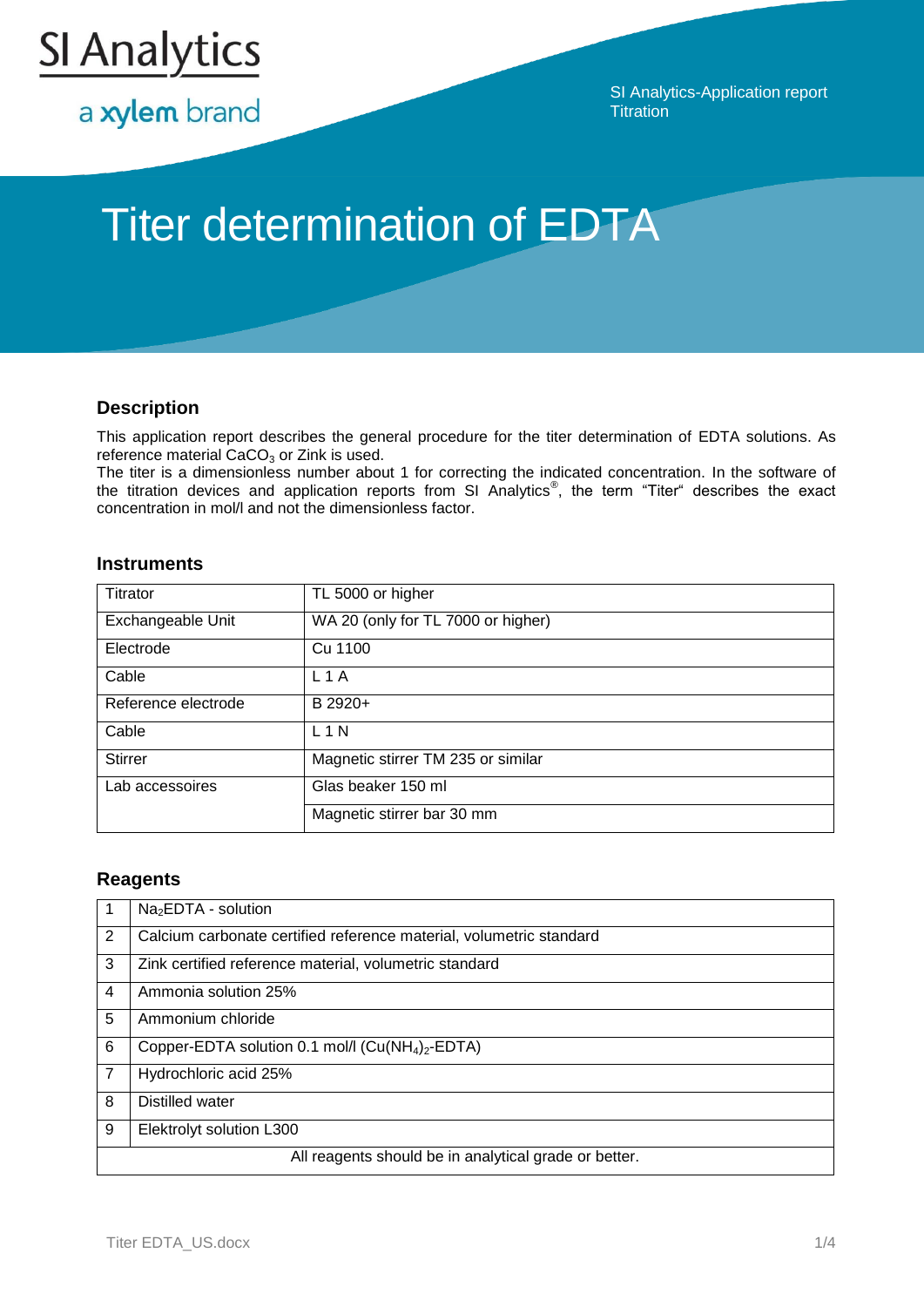

a xylem brand

SI Analytics-Application report **Titration** 

# Titer determination of EDTA

## **Description**

This application report describes the general procedure for the titer determination of EDTA solutions. As reference material  $CaCO<sub>3</sub>$  or Zink is used.

The titer is a dimensionless number about 1 for correcting the indicated concentration. In the software of the titration devices and application reports from SI Analytics<sup>®</sup>, the term "Titer" describes the exact concentration in mol/l and not the dimensionless factor.

## **Instruments**

| Titrator            | TL 5000 or higher                  |
|---------------------|------------------------------------|
| Exchangeable Unit   | WA 20 (only for TL 7000 or higher) |
| Electrode           | Cu 1100                            |
| Cable               | $L$ 1 A                            |
| Reference electrode | B 2920+                            |
| Cable               | L1N                                |
| <b>Stirrer</b>      | Magnetic stirrer TM 235 or similar |
| Lab accessoires     | Glas beaker 150 ml                 |
|                     | Magnetic stirrer bar 30 mm         |

## **Reagents**

|                                                       | $Na2EDTA - solution$                                                     |  |  |
|-------------------------------------------------------|--------------------------------------------------------------------------|--|--|
| 2                                                     | Calcium carbonate certified reference material, volumetric standard      |  |  |
| 3                                                     | Zink certified reference material, volumetric standard                   |  |  |
| 4                                                     | Ammonia solution 25%                                                     |  |  |
| 5                                                     | Ammonium chloride                                                        |  |  |
| 6                                                     | Copper-EDTA solution 0.1 mol/l (Cu(NH <sub>4</sub> ) <sub>2</sub> -EDTA) |  |  |
| 7                                                     | Hydrochloric acid 25%                                                    |  |  |
| 8                                                     | Distilled water                                                          |  |  |
| 9                                                     | Elektrolyt solution L300                                                 |  |  |
| All reagents should be in analytical grade or better. |                                                                          |  |  |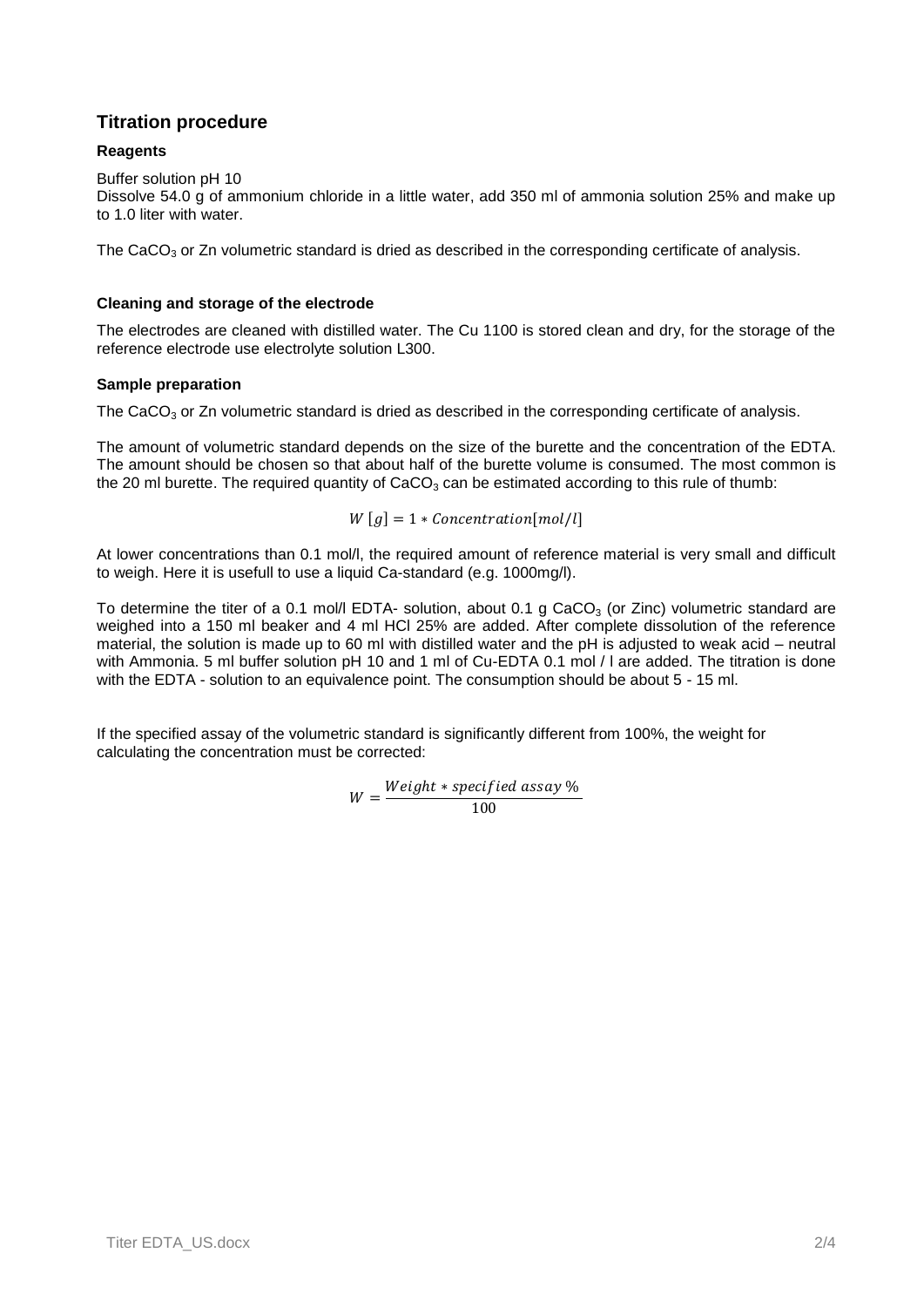# **Titration procedure**

## **Reagents**

Buffer solution pH 10

Dissolve 54.0 g of ammonium chloride in a little water, add 350 ml of ammonia solution 25% and make up to 1.0 liter with water.

The CaCO<sub>3</sub> or Zn volumetric standard is dried as described in the corresponding certificate of analysis.

### **Cleaning and storage of the electrode**

The electrodes are cleaned with distilled water. The Cu 1100 is stored clean and dry, for the storage of the reference electrode use electrolyte solution L300.

### **Sample preparation**

The CaCO<sub>3</sub> or Zn volumetric standard is dried as described in the corresponding certificate of analysis.

The amount of volumetric standard depends on the size of the burette and the concentration of the EDTA. The amount should be chosen so that about half of the burette volume is consumed. The most common is the 20 ml burette. The required quantity of  $CaCO<sub>3</sub>$  can be estimated according to this rule of thumb:

$$
W[g] = 1 * \text{Concentration}[mol/l]
$$

At lower concentrations than 0.1 mol/l, the required amount of reference material is very small and difficult to weigh. Here it is usefull to use a liquid Ca-standard (e.g. 1000mg/l).

To determine the titer of a 0.1 mol/l EDTA- solution, about 0.1 g CaCO<sub>3</sub> (or Zinc) volumetric standard are weighed into a 150 ml beaker and 4 ml HCl 25% are added. After complete dissolution of the reference material, the solution is made up to 60 ml with distilled water and the pH is adjusted to weak acid – neutral with Ammonia. 5 ml buffer solution pH 10 and 1 ml of Cu-EDTA 0.1 mol / I are added. The titration is done with the EDTA - solution to an equivalence point. The consumption should be about 5 - 15 ml.

If the specified assay of the volumetric standard is significantly different from 100%, the weight for calculating the concentration must be corrected:

$$
W = \frac{Weight * specified \; assay \; \%}{100}
$$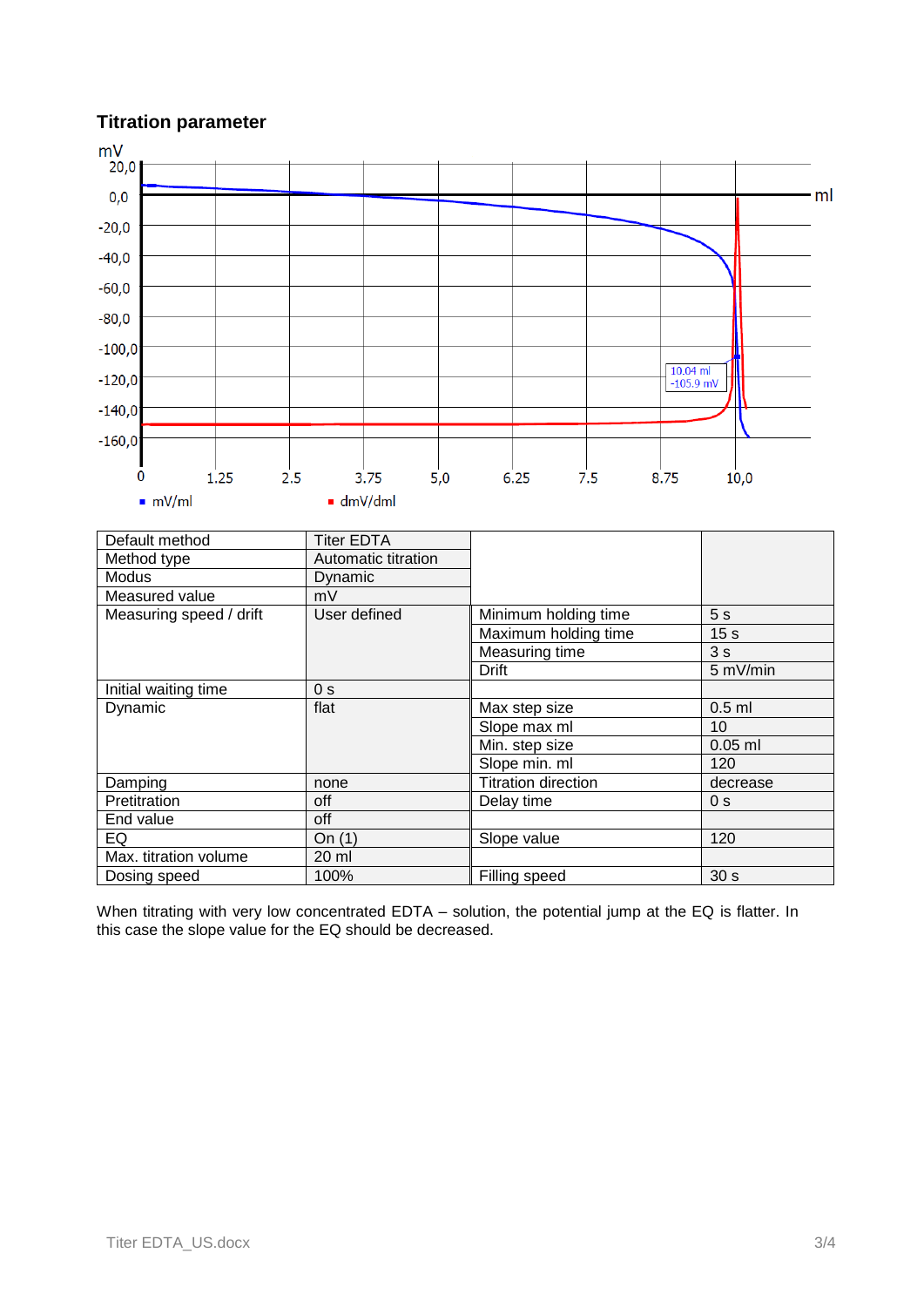## **Titration parameter**



When titrating with very low concentrated EDTA – solution, the potential jump at the EQ is flatter. In this case the slope value for the EQ should be decreased.